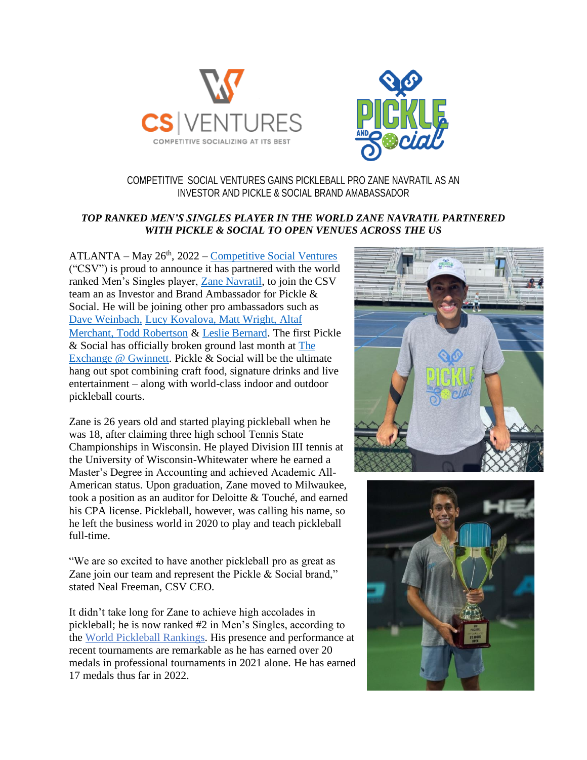



## COMPETITIVE SOCIAL VENTURES GAINS PICKLEBALL PRO ZANE NAVRATIL AS AN INVESTOR AND PICKLE & SOCIAL BRAND AMABASSADOR

## *TOP RANKED MEN'S SINGLES PLAYER IN THE WORLD ZANE NAVRATIL PARTNERED WITH PICKLE & SOCIAL TO OPEN VENUES ACROSS THE US*

ATLANTA – May 26<sup>th</sup>, 2022 – [Competitive Social Ventures](http://www.cosoventures.com/) ("CSV") is proud to announce it has partnered with the world ranked Men's Singles player, [Zane Navratil,](https://zanenavratilpickleball.com/#about) to join the CSV team an as Investor and Brand Ambassador for Pickle & Social. He will be joining other pro ambassadors such as [Dave Weinbach,](https://www.competitivesocialventures.com/files/6248/COMPETITIVE_SOCIAL_VENTURES) [Lucy Kovalova, Matt Wright, Altaf](https://www.competitivesocialventures.com/files/6248/COMPETITIVE_SOCIAL_VENTURES_GAINS_PRO_PICKLEBALL_INVESTORS_AND_BRAND_AMBASSADORS_FOR_PICKLE_&_SO.pdf)  [Merchant, Todd Robertson](https://www.competitivesocialventures.com/files/6248/COMPETITIVE_SOCIAL_VENTURES_GAINS_PRO_PICKLEBALL_INVESTORS_AND_BRAND_AMBASSADORS_FOR_PICKLE_&_SO.pdf) & [Leslie Bernard](https://www.competitivesocialventures.com/files/6248/COMPETITIVE_SOCIAL_VENTURES_GAINS_SENIOR_PRO_PICKLEBALL_PLAYER_LESLIE_BERNARD_AS_AN_INVESTOR_AND.pdf). The first Pickle & Social has officially broken ground last month at [The](https://exchangegwinnett.com/)  [Exchange @ Gwinnett.](https://exchangegwinnett.com/) Pickle & Social will be the ultimate hang out spot combining craft food, signature drinks and live entertainment – along with world-class indoor and outdoor pickleball courts.

Zane is 26 years old and started playing pickleball when he was 18, after claiming three high school Tennis State Championships in Wisconsin. He played Division III tennis at the University of Wisconsin-Whitewater where he earned a Master's Degree in Accounting and achieved Academic All-American status. Upon graduation, Zane moved to Milwaukee, took a position as an auditor for Deloitte & Touché, and earned his CPA license. Pickleball, however, was calling his name, so he left the business world in 2020 to play and teach pickleball full-time.

"We are so excited to have another pickleball pro as great as Zane join our team and represent the Pickle & Social brand," stated Neal Freeman, CSV CEO.

It didn't take long for Zane to achieve high accolades in pickleball; he is now ranked #2 in Men's Singles, according to the [World Pickleball Rankings.](https://www.pickleballtournaments.com/ranking.pl) His presence and performance at recent tournaments are remarkable as he has earned over 20 medals in professional tournaments in 2021 alone. He has earned 17 medals thus far in 2022.



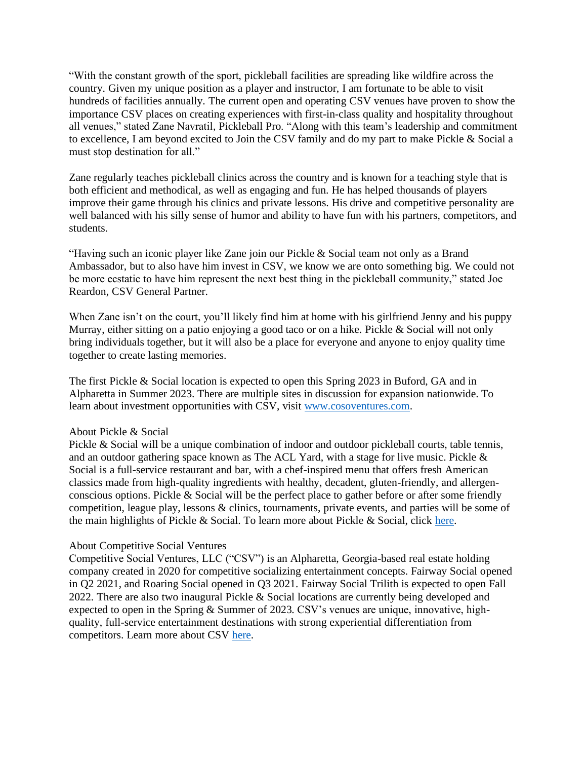"With the constant growth of the sport, pickleball facilities are spreading like wildfire across the country. Given my unique position as a player and instructor, I am fortunate to be able to visit hundreds of facilities annually. The current open and operating CSV venues have proven to show the importance CSV places on creating experiences with first-in-class quality and hospitality throughout all venues," stated Zane Navratil, Pickleball Pro. "Along with this team's leadership and commitment to excellence, I am beyond excited to Join the CSV family and do my part to make Pickle & Social a must stop destination for all."

Zane regularly teaches pickleball clinics across the country and is known for a teaching style that is both efficient and methodical, as well as engaging and fun. He has helped thousands of players improve their game through his clinics and private lessons. His drive and competitive personality are well balanced with his silly sense of humor and ability to have fun with his partners, competitors, and students.

"Having such an iconic player like Zane join our Pickle & Social team not only as a Brand Ambassador, but to also have him invest in CSV, we know we are onto something big. We could not be more ecstatic to have him represent the next best thing in the pickleball community," stated Joe Reardon, CSV General Partner.

When Zane isn't on the court, you'll likely find him at home with his girlfriend Jenny and his puppy Murray, either sitting on a patio enjoying a good taco or on a hike. Pickle & Social will not only bring individuals together, but it will also be a place for everyone and anyone to enjoy quality time together to create lasting memories.

The first Pickle & Social location is expected to open this Spring 2023 in Buford, GA and in Alpharetta in Summer 2023. There are multiple sites in discussion for expansion nationwide. To learn about investment opportunities with CSV, visit [www.cosoventures.com.](http://www.cosoventures.com/)

## About Pickle & Social

Pickle & Social will be a unique combination of indoor and outdoor pickleball courts, table tennis, and an outdoor gathering space known as The ACL Yard, with a stage for live music. Pickle & Social is a full-service restaurant and bar, with a chef-inspired menu that offers fresh American classics made from high-quality ingredients with healthy, decadent, gluten-friendly, and allergenconscious options. Pickle & Social will be the perfect place to gather before or after some friendly competition, league play, lessons & clinics, tournaments, private events, and parties will be some of the main highlights of Pickle & Social. To learn more about Pickle & Social, click [here.](http://www.pickleandsocial.com/)

## About Competitive Social Ventures

Competitive Social Ventures, LLC ("CSV") is an Alpharetta, Georgia-based real estate holding company created in 2020 for competitive socializing entertainment concepts. Fairway Social opened in Q2 2021, and Roaring Social opened in Q3 2021. Fairway Social Trilith is expected to open Fall 2022. There are also two inaugural Pickle & Social locations are currently being developed and expected to open in the Spring & Summer of 2023. CSV's venues are unique, innovative, highquality, full-service entertainment destinations with strong experiential differentiation from competitors. Learn more about CSV [here.](http://www.cosoventures.com/)